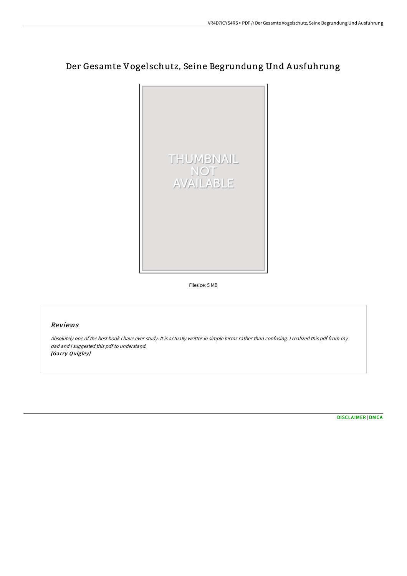# Der Gesamte Vogelschutz, Seine Begrundung Und A usfuhrung



Filesize: 5 MB

## Reviews

Absolutely one of the best book <sup>I</sup> have ever study. It is actually writter in simple terms rather than confusing. <sup>I</sup> realized this pdf from my dad and i suggested this pdf to understand. (Garry Quigley)

[DISCLAIMER](http://bookera.tech/disclaimer.html) | [DMCA](http://bookera.tech/dmca.html)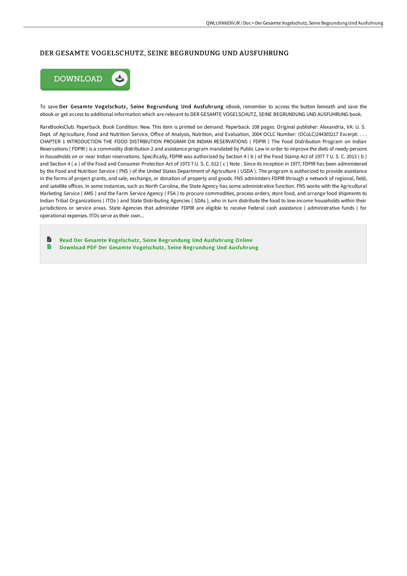#### DER GESAMTE VOGELSCHUTZ, SEINE BEGRUNDUNG UND AUSFUHRUNG



To save Der Gesamte Vogelschutz, Seine Begrundung Und Ausfuhrung eBook, remember to access the button beneath and save the ebook or get access to additional information which are relevant to DER GESAMTE VOGELSCHUTZ, SEINE BEGRUNDUNG UND AUSFUHRUNG book.

RareBooksClub. Paperback. Book Condition: New. This item is printed on demand. Paperback. 108 pages. Original publisher: Alexandria, VA: U. S. Dept. of Agriculture, Food and Nutrition Service, Office of Analysis, Nutrition, and Evaluation, 2004 OCLC Number: (OCoLC)244303217 Excerpt: . . . CHAPTER 1 INTRODUCTION THE FOOD DISTRIBUTION PROGRAM ON INDIAN RESERVATIONS ( FDPIR ) The Food Distribution Program on Indian Reservations ( FDPIR ) is a commodity distribution 2 and assistance program mandated by Public Law in order to improve the diets of needy persons in households on or near Indian reservations. Specifically, FDPIR was authorized by Section 4 (b) of the Food Stamp Act of 1977 7 U. S. C. 2013 (b) and Section 4 ( a ) of the Food and Consumer Protection Act of 1973 7 U. S. C. 612 ( c ) Note . Since its inception in 1977, FDPIR has been administered by the Food and Nutrition Service ( FNS ) of the United States Department of Agriculture ( USDA ). The program is authorized to provide assistance in the forms of project grants, and sale, exchange, or donation of property and goods. FNS administers FDPIR through a network of regional, field, and satellite offices. In some instances, such as North Carolina, the State Agency has some administrative function. FNS works with the Agricultural Marketing Service ( AMS ) and the Farm Service Agency ( FSA ) to procure commodities, process orders, store food, and arrange food shipments to Indian Tribal Organizations ( ITOs ) and State Distributing Agencies ( SDAs ), who in turn distribute the food to low-income households within their jurisdictions or service areas. State Agencies that administer FDPIR are eligible to receive Federal cash assistance ( administrative funds ) for operational expenses. ITOs serve as their own...

A Read Der Gesamte Vogelschutz, Seine [Begrundung](http://bookera.tech/der-gesamte-vogelschutz-seine-begrundung-und-aus.html) Und Ausfuhrung Online  $\blacksquare$ Download PDF Der Gesamte Vogelschutz, Seine [Begrundung](http://bookera.tech/der-gesamte-vogelschutz-seine-begrundung-und-aus.html) Und Ausfuhrung